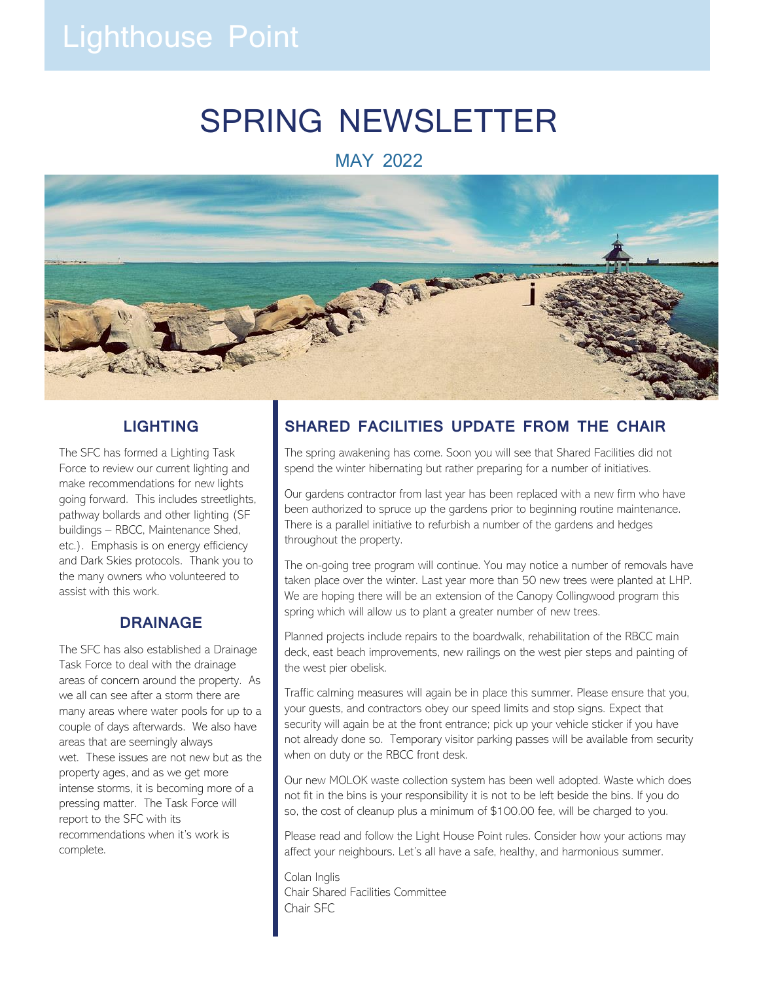## Lighthouse Point

## SPRING NEWSLETTER

MAY 2022



#### **LIGHTING**

The SFC has formed a Lighting Task Force to review our current lighting and make recommendations for new lights going forward. This includes streetlights, pathway bollards and other lighting (SF buildings – RBCC, Maintenance Shed, etc.). Emphasis is on energy efficiency and Dark Skies protocols. Thank you to the many owners who volunteered to assist with this work.

#### **DRAINAGE**

The SFC has also established a Drainage Task Force to deal with the drainage areas of concern around the property. As we all can see after a storm there are many areas where water pools for up to a couple of days afterwards. We also have areas that are seemingly always wet. These issues are not new but as the property ages, and as we get more intense storms, it is becoming more of a pressing matter. The Task Force will report to the SFC with its recommendations when it's work is complete.

#### **SHARED FACILITIES UPDATE FROM THE CHAIR**

The spring awakening has come. Soon you will see that Shared Facilities did not spend the winter hibernating but rather preparing for a number of initiatives.

Our gardens contractor from last year has been replaced with a new firm who have been authorized to spruce up the gardens prior to beginning routine maintenance. There is a parallel initiative to refurbish a number of the gardens and hedges throughout the property.

The on-going tree program will continue. You may notice a number of removals have taken place over the winter. Last year more than 50 new trees were planted at LHP. We are hoping there will be an extension of the Canopy Collingwood program this spring which will allow us to plant a greater number of new trees.

Planned projects include repairs to the boardwalk, rehabilitation of the RBCC main deck, east beach improvements, new railings on the west pier steps and painting of the west pier obelisk.

Traffic calming measures will again be in place this summer. Please ensure that you, your guests, and contractors obey our speed limits and stop signs. Expect that security will again be at the front entrance; pick up your vehicle sticker if you have not already done so. Temporary visitor parking passes will be available from security when on duty or the RBCC front desk.

Our new MOLOK waste collection system has been well adopted. Waste which does not fit in the bins is your responsibility it is not to be left beside the bins. If you do so, the cost of cleanup plus a minimum of \$100.00 fee, will be charged to you.

Please read and follow the Light House Point rules. Consider how your actions may affect your neighbours. Let's all have a safe, healthy, and harmonious summer.

Colan Inglis Chair Shared Facilities Committee Chair SFC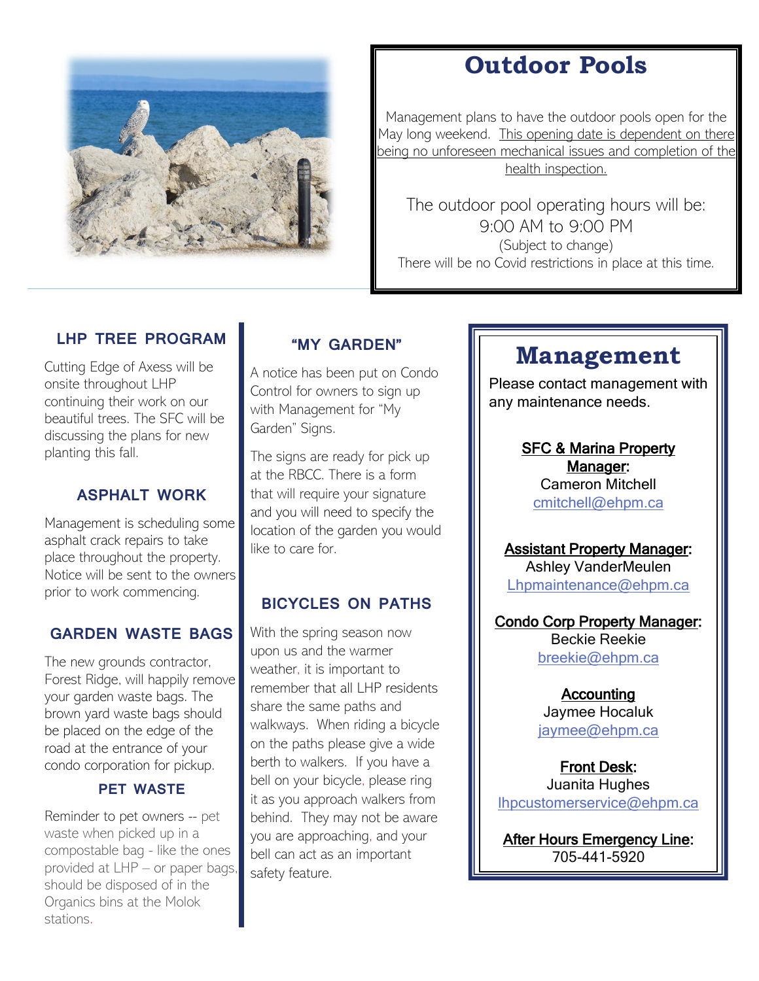

### **Outdoor Pools**

Management plans to have the outdoor pools open for the May long weekend. This opening date is dependent on there being no unforeseen mechanical issues and completion of the health inspection.

The outdoor pool operating hours will be: 9:00 AM to 9:00 PM (Subject to change) There will be no Covid restrictions in place at this time.

#### **LHP TREE PROGRAM**

Cutting Edge of Axess will be onsite throughout LHP continuing their work on our beautiful trees. The SFC will be discussing the plans for new planting this fall.

#### **ASPHALT WORK**

Management is scheduling some asphalt crack repairs to take place throughout the property. Notice will be sent to the owners prior to work commencing.

#### **GARDEN WASTE BAGS**

The new grounds contractor, Forest Ridge, will happily remove your garden waste bags. The brown yard waste bags should be placed on the edge of the road at the entrance of your condo corporation for pickup.

#### **PET WASTE**

Reminder to pet owners -- pet waste when picked up in a compostable bag - like the ones provided at LHP – or paper bags, should be disposed of in the Organics bins at the Molok stations.

#### **"MY GARDEN"**

A notice has been put on Condo Control for owners to sign up with Management for "My Garden" Signs.

The signs are ready for pick up at the RBCC. There is a form that will require your signature and you will need to specify the location of the garden you would like to care for.

#### **BICYCLES ON PATHS**

With the spring season now upon us and the warmer weather, it is important to remember that all LHP residents share the same paths and walkways. When riding a bicycle on the paths please give a wide berth to walkers. If you have a bell on your bicycle, please ring it as you approach walkers from behind. They may not be aware you are approaching, and your bell can act as an important safety feature.

### **Management**

Please contact management with any maintenance needs.

#### **SFC & Marina Property** Manager: Cameron Mitchell

[cmitchell@ehpm.ca](mailto:cmitchell@ehpm.ca)

#### Assistant Property Manager:

Ashley VanderMeulen [Lhpmaintenance@ehpm.ca](mailto:Lhpmaintenance@ehpm.ca)

Condo Corp Property Manager:

Beckie Reekie [breekie@ehpm.ca](mailto:breekie@ehpm.ca)

Accounting Jaymee Hocaluk [jaymee@ehpm.ca](mailto:jaymee@ehpm.ca)

Front Desk: Juanita Hughes [lhpcustomerservice@ehpm.ca](mailto:lhpcustomerservice@ehpm.ca)

After Hours Emergency Line: 705-441-5920